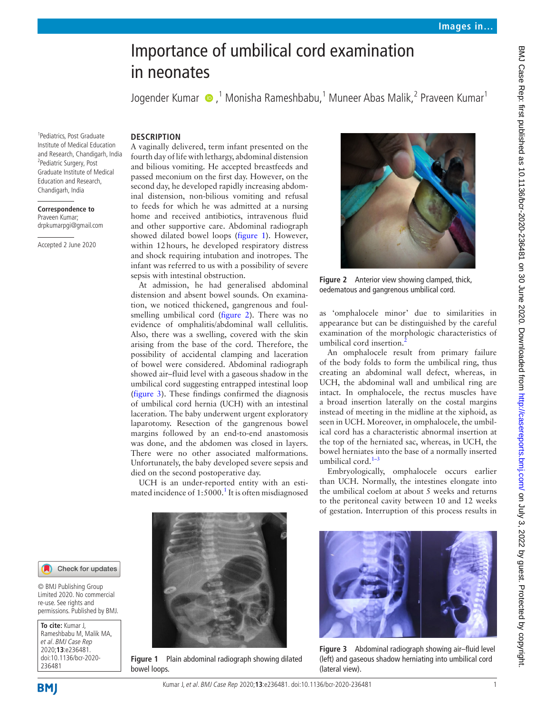# Importance of umbilical cord examination in neonates

Jogender Kumar (D, <sup>1</sup> Monisha Rameshbabu, <sup>1</sup> Muneer Abas Malik, <sup>2</sup> Praveen Kumar <sup>1</sup>

1 Pediatrics, Post Graduate Institute of Medical Education and Research, Chandigarh, India <sup>2</sup>Pediatric Surgery, Post Graduate Institute of Medical Education and Research, Chandigarh, India

**Correspondence to** Praveen Kumar; drpkumarpgi@gmail.com

Accepted 2 June 2020

## **Description**

A vaginally delivered, term infant presented on the fourth day of life with lethargy, abdominal distension and bilious vomiting. He accepted breastfeeds and passed meconium on the first day. However, on the second day, he developed rapidly increasing abdominal distension, non-bilious vomiting and refusal to feeds for which he was admitted at a nursing home and received antibiotics, intravenous fluid and other supportive care. Abdominal radiograph showed dilated bowel loops [\(figure](#page-0-0) 1). However, within 12hours, he developed respiratory distress and shock requiring intubation and inotropes. The infant was referred to us with a possibility of severe sepsis with intestinal obstruction.

At admission, he had generalised abdominal distension and absent bowel sounds. On examination, we noticed thickened, gangrenous and foulsmelling umbilical cord [\(figure](#page-0-1) 2). There was no evidence of omphalitis/abdominal wall cellulitis. Also, there was a swelling, covered with the skin arising from the base of the cord. Therefore, the possibility of accidental clamping and laceration of bowel were considered. Abdominal radiograph showed air–fluid level with a gaseous shadow in the umbilical cord suggesting entrapped intestinal loop ([figure](#page-0-2) 3). These findings confirmed the diagnosis of umbilical cord hernia (UCH) with an intestinal laceration. The baby underwent urgent exploratory laparotomy. Resection of the gangrenous bowel margins followed by an end-to-end anastomosis was done, and the abdomen was closed in layers. There were no other associated malformations. Unfortunately, the baby developed severe sepsis and died on the second postoperative day.

UCH is an under-reported entity with an esti-mated incidence of [1](#page-1-0):5000.<sup>1</sup> It is often misdiagnosed



**Figure 1** Plain abdominal radiograph showing dilated bowel loops.



**Figure 2** Anterior view showing clamped, thick, oedematous and gangrenous umbilical cord.

<span id="page-0-1"></span>as 'omphalocele minor' due to similarities in appearance but can be distinguished by the careful examination of the morphologic characteristics of umbilical cord insertion.<sup>2</sup>

An omphalocele result from primary failure of the body folds to form the umbilical ring, thus creating an abdominal wall defect, whereas, in UCH, the abdominal wall and umbilical ring are intact. In omphalocele, the rectus muscles have a broad insertion laterally on the costal margins instead of meeting in the midline at the xiphoid, as seen in UCH. Moreover, in omphalocele, the umbilical cord has a characteristic abnormal insertion at the top of the herniated sac, whereas, in UCH, the bowel herniates into the base of a normally inserted umbilical cord.<sup>1-3</sup>

Embryologically, omphalocele occurs earlier than UCH. Normally, the intestines elongate into the umbilical coelom at about 5 weeks and returns to the peritoneal cavity between 10 and 12 weeks of gestation. Interruption of this process results in

<span id="page-0-2"></span>

**Figure 3** Abdominal radiograph showing air–fluid level (left) and gaseous shadow herniating into umbilical cord (lateral view).

#### Check for updates

© BMJ Publishing Group Limited 2020. No commercial re-use. See rights and permissions. Published by BMJ.

<span id="page-0-0"></span>**To cite:** Kumar J, Rameshbabu M, Malik MA, et al. BMJ Case Rep 2020;**13**:e236481. doi:10.1136/bcr-2020- 236481